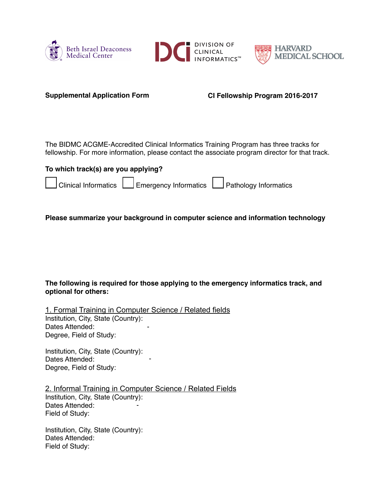





**Supplemental Application Form CI Fellowship Program 2016-2017**

The BIDMC ACGME-Accredited Clinical Informatics Training Program has three tracks for fellowship. For more information, please contact the associate program director for that track.

| To which track(s) are you applying? |  |  |                                                                  |  |  |  |  |
|-------------------------------------|--|--|------------------------------------------------------------------|--|--|--|--|
|                                     |  |  | Clinical Informatics Energency Informatics Pathology Informatics |  |  |  |  |

## **Please summarize your background in computer science and information technology**

## **The following is required for those applying to the emergency informatics track, and optional for others:**

1. Formal Training in Computer Science / Related fields Institution, City, State (Country): Dates Attended: Degree, Field of Study: -

Institution, City, State (Country): Dates Attended: Degree, Field of Study:

2. Informal Training in Computer Science / Related Fields Institution, City, State (Country): Dates Attended: Field of Study: -

-

Institution, City, State (Country): Dates Attended: Field of Study: